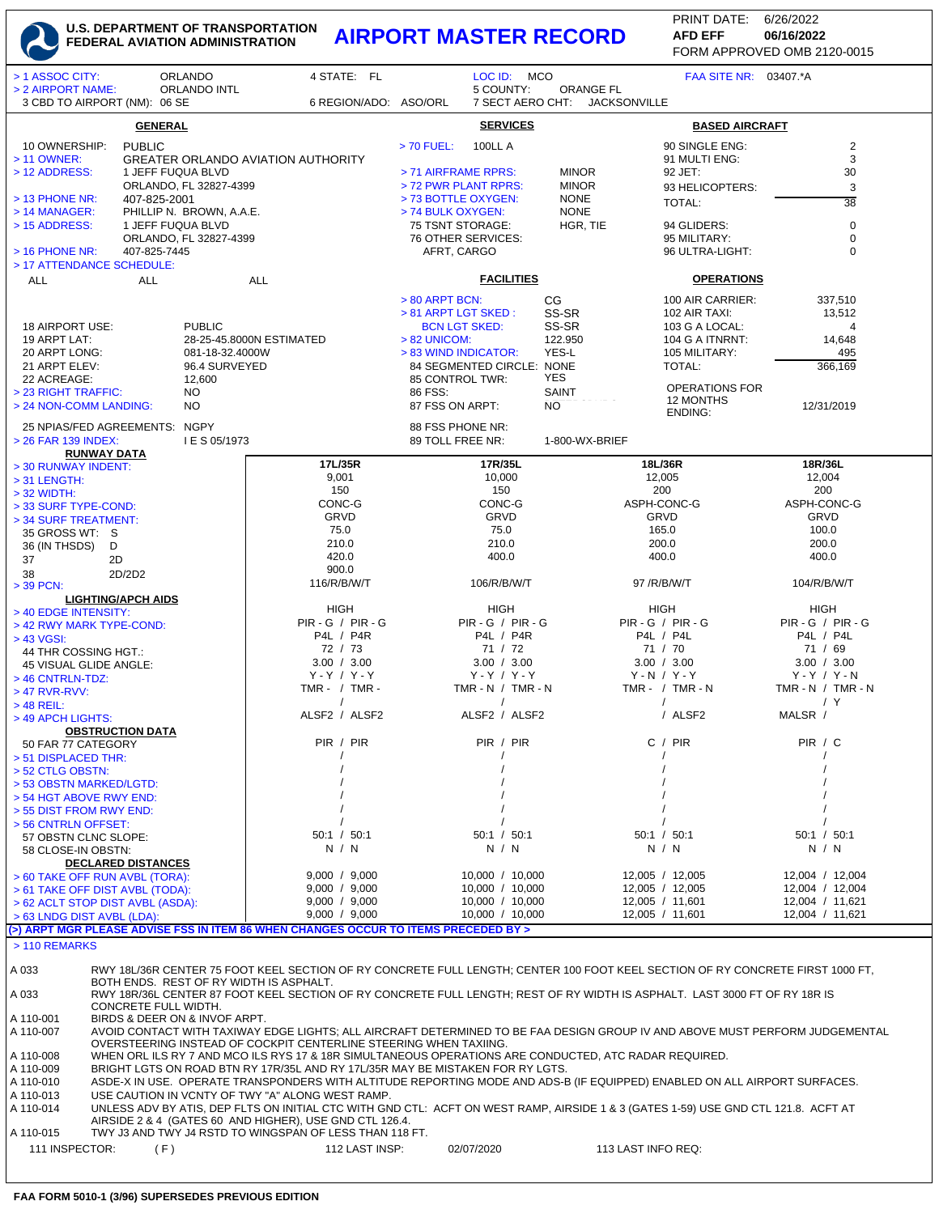## **U.S. DEPARTMENT OF TRANSPORTATION FEDERAL AVIATION ADMINISTRATION AIRPORT MASTER RECORD AFD EFF 06/16/2022**

FORM APPROVED OMB 2120-0015 PRINT DATE: 6/26/2022 **AFD EFF**

| <b>ORLANDO</b><br>> 1 ASSOC CITY:                                                                                                                                                       | 4 STATE: FL                                                                                                                                                                                   | LOC ID: MCO                              |                             | FAA SITE NR: 03407.*A                |                                      |  |  |
|-----------------------------------------------------------------------------------------------------------------------------------------------------------------------------------------|-----------------------------------------------------------------------------------------------------------------------------------------------------------------------------------------------|------------------------------------------|-----------------------------|--------------------------------------|--------------------------------------|--|--|
| > 2 AIRPORT NAME:<br><b>ORLANDO INTL</b><br>3 CBD TO AIRPORT (NM): 06 SE                                                                                                                | 6 REGION/ADO: ASO/ORL                                                                                                                                                                         | 5 COUNTY:<br>7 SECT AERO CHT:            | <b>ORANGE FL</b>            | <b>JACKSONVILLE</b>                  |                                      |  |  |
| <b>GENERAL</b>                                                                                                                                                                          | <b>SERVICES</b><br><b>BASED AIRCRAFT</b>                                                                                                                                                      |                                          |                             |                                      |                                      |  |  |
| 10 OWNERSHIP:<br><b>PUBLIC</b>                                                                                                                                                          |                                                                                                                                                                                               | > 70 FUEL:<br><b>100LL A</b>             |                             | 90 SINGLE ENG:                       | $\overline{c}$                       |  |  |
| > 11 OWNER:                                                                                                                                                                             | <b>GREATER ORLANDO AVIATION AUTHORITY</b>                                                                                                                                                     |                                          |                             | 91 MULTI ENG:                        | 3                                    |  |  |
| > 12 ADDRESS:<br>1 JEFF FUQUA BLVD                                                                                                                                                      |                                                                                                                                                                                               | > 71 AIRFRAME RPRS:                      | <b>MINOR</b>                | 92 JET:                              | 30                                   |  |  |
| ORLANDO, FL 32827-4399                                                                                                                                                                  |                                                                                                                                                                                               | > 72 PWR PLANT RPRS:                     | <b>MINOR</b><br><b>NONE</b> | 93 HELICOPTERS:                      | 3                                    |  |  |
| $>$ 13 PHONE NR:<br>407-825-2001<br>> 14 MANAGER:<br>PHILLIP N. BROWN, A.A.E.                                                                                                           |                                                                                                                                                                                               | > 73 BOTTLE OXYGEN:<br>> 74 BULK OXYGEN: | <b>NONE</b>                 | TOTAL:                               | $\overline{38}$                      |  |  |
| > 15 ADDRESS:<br>1 JEFF FUQUA BLVD                                                                                                                                                      |                                                                                                                                                                                               | 75 TSNT STORAGE:                         | HGR, TIE                    | 94 GLIDERS:                          | $\pmb{0}$                            |  |  |
| ORLANDO, FL 32827-4399                                                                                                                                                                  |                                                                                                                                                                                               | 76 OTHER SERVICES:                       |                             | 95 MILITARY:                         | $\pmb{0}$                            |  |  |
| $>$ 16 PHONE NR:<br>407-825-7445                                                                                                                                                        |                                                                                                                                                                                               | AFRT, CARGO                              |                             | 96 ULTRA-LIGHT:                      | $\mathbf 0$                          |  |  |
| > 17 ATTENDANCE SCHEDULE:                                                                                                                                                               |                                                                                                                                                                                               |                                          |                             |                                      |                                      |  |  |
| <b>ALL</b><br><b>ALL</b>                                                                                                                                                                | <b>ALL</b>                                                                                                                                                                                    | <b>FACILITIES</b>                        |                             | <b>OPERATIONS</b>                    |                                      |  |  |
|                                                                                                                                                                                         |                                                                                                                                                                                               | $> 80$ ARPT BCN:                         | CG                          | 100 AIR CARRIER:                     | 337,510                              |  |  |
| <b>PUBLIC</b>                                                                                                                                                                           |                                                                                                                                                                                               | > 81 ARPT LGT SKED:                      | SS-SR                       | 102 AIR TAXI:                        | 13,512                               |  |  |
| 18 AIRPORT USE:<br>19 ARPT LAT:                                                                                                                                                         | 28-25-45.8000N ESTIMATED                                                                                                                                                                      | <b>BCN LGT SKED:</b><br>> 82 UNICOM:     | SS-SR<br>122.950            | 103 G A LOCAL:<br>104 G A ITNRNT:    | 4<br>14,648                          |  |  |
| 20 ARPT LONG:<br>081-18-32.4000W                                                                                                                                                        |                                                                                                                                                                                               | > 83 WIND INDICATOR:                     | YES-L                       | 105 MILITARY:                        | 495                                  |  |  |
| 21 ARPT ELEV:<br>96.4 SURVEYED                                                                                                                                                          |                                                                                                                                                                                               | 84 SEGMENTED CIRCLE: NONE                |                             | TOTAL:                               | 366,169                              |  |  |
| 22 ACREAGE:<br>12,600                                                                                                                                                                   |                                                                                                                                                                                               | 85 CONTROL TWR:                          | YES                         | OPERATIONS FOR                       |                                      |  |  |
| > 23 RIGHT TRAFFIC:<br>NO.                                                                                                                                                              |                                                                                                                                                                                               | 86 FSS:                                  | <b>SAINT</b>                | 12 MONTHS                            |                                      |  |  |
| > 24 NON-COMM LANDING:<br>NO.                                                                                                                                                           |                                                                                                                                                                                               | 87 FSS ON ARPT:                          | <b>NO</b>                   | <b>ENDING:</b>                       | 12/31/2019                           |  |  |
| 25 NPIAS/FED AGREEMENTS: NGPY                                                                                                                                                           |                                                                                                                                                                                               | 88 FSS PHONE NR:                         |                             |                                      |                                      |  |  |
| > 26 FAR 139 INDEX:<br>I E S 05/1973                                                                                                                                                    |                                                                                                                                                                                               | 89 TOLL FREE NR:                         | 1-800-WX-BRIEF              |                                      |                                      |  |  |
| <b>RUNWAY DATA</b><br>> 30 RUNWAY INDENT:                                                                                                                                               | 17L/35R                                                                                                                                                                                       | 17R/35L                                  |                             | 18L/36R                              | 18R/36L                              |  |  |
| $>$ 31 LENGTH:                                                                                                                                                                          | 9,001                                                                                                                                                                                         | 10,000                                   |                             | 12,005                               | 12,004                               |  |  |
| $>$ 32 WIDTH:                                                                                                                                                                           | 150                                                                                                                                                                                           | 150                                      |                             | 200                                  | 200                                  |  |  |
| > 33 SURF TYPE-COND:                                                                                                                                                                    | CONC-G                                                                                                                                                                                        | CONC-G                                   |                             | ASPH-CONC-G                          | ASPH-CONC-G                          |  |  |
| > 34 SURF TREATMENT:                                                                                                                                                                    | GRVD                                                                                                                                                                                          | GRVD                                     |                             | <b>GRVD</b>                          | GRVD                                 |  |  |
| 35 GROSS WT: S                                                                                                                                                                          | 75.0<br>210.0                                                                                                                                                                                 | 75.0<br>210.0                            |                             | 165.0<br>200.0                       | 100.0<br>200.0                       |  |  |
| 36 (IN THSDS)<br>D<br>37<br>2D                                                                                                                                                          | 420.0                                                                                                                                                                                         | 400.0                                    |                             | 400.0                                | 400.0                                |  |  |
| 2D/2D2<br>38                                                                                                                                                                            | 900.0                                                                                                                                                                                         |                                          |                             |                                      |                                      |  |  |
| > 39 PCN:                                                                                                                                                                               | 116/R/B/W/T                                                                                                                                                                                   | 106/R/B/W/T                              |                             | 97 / R/ B/ W/ T                      | 104/R/B/W/T                          |  |  |
| <b>LIGHTING/APCH AIDS</b>                                                                                                                                                               | <b>HIGH</b>                                                                                                                                                                                   | <b>HIGH</b>                              |                             | <b>HIGH</b>                          | <b>HIGH</b>                          |  |  |
| > 40 EDGE INTENSITY:<br>> 42 RWY MARK TYPE-COND:                                                                                                                                        | $PIR - G / PIR - G$                                                                                                                                                                           | $PIR - G / PIR - G$                      |                             | $PIR - G / PIR - G$                  | $PIR - G / PIR - G$                  |  |  |
| > 43 VGSI:                                                                                                                                                                              | P4L / P4R                                                                                                                                                                                     | P4L / P4R                                |                             | P4L / P4L                            | P4L / P4L                            |  |  |
| 44 THR COSSING HGT.:                                                                                                                                                                    | 72 / 73                                                                                                                                                                                       | 71 / 72                                  |                             | 71 / 70                              | 71 / 69                              |  |  |
| 45 VISUAL GLIDE ANGLE:                                                                                                                                                                  | 3.00 / 3.00                                                                                                                                                                                   | 3.00 / 3.00                              |                             | 3.00 / 3.00                          | 3.00 / 3.00                          |  |  |
| > 46 CNTRLN-TDZ:                                                                                                                                                                        | $Y - Y / Y - Y$<br>TMR - $/$ TMR -                                                                                                                                                            | $Y - Y / Y - Y$<br>TMR - N $/$ TMR - N   |                             | $Y - N / Y - Y$<br>TMR - $/$ TMR - N | $Y - Y / Y - N$<br>TMR - N / TMR - N |  |  |
| $>47$ RVR-RVV:<br>$>$ 48 REIL:                                                                                                                                                          | $\prime$                                                                                                                                                                                      | $\prime$                                 |                             | $\prime$                             | / Y                                  |  |  |
| > 49 APCH LIGHTS:                                                                                                                                                                       | ALSF2 / ALSF2                                                                                                                                                                                 | ALSF2 / ALSF2                            |                             | / ALSF2                              | MALSR /                              |  |  |
| <b>OBSTRUCTION DATA</b>                                                                                                                                                                 |                                                                                                                                                                                               |                                          |                             |                                      |                                      |  |  |
| 50 FAR 77 CATEGORY                                                                                                                                                                      | PIR / PIR                                                                                                                                                                                     | PIR / PIR                                |                             | C / PIR                              | PIR / C                              |  |  |
| > 51 DISPLACED THR:                                                                                                                                                                     |                                                                                                                                                                                               |                                          |                             |                                      |                                      |  |  |
| > 52 CTLG OBSTN:<br>> 53 OBSTN MARKED/LGTD:                                                                                                                                             |                                                                                                                                                                                               |                                          |                             |                                      |                                      |  |  |
| > 54 HGT ABOVE RWY END:                                                                                                                                                                 |                                                                                                                                                                                               |                                          |                             |                                      |                                      |  |  |
| > 55 DIST FROM RWY END:                                                                                                                                                                 |                                                                                                                                                                                               |                                          |                             |                                      |                                      |  |  |
| > 56 CNTRLN OFFSET:                                                                                                                                                                     |                                                                                                                                                                                               |                                          |                             |                                      |                                      |  |  |
| 57 OBSTN CLNC SLOPE:                                                                                                                                                                    | 50:1 / 50:1                                                                                                                                                                                   | 50:1 / 50:1<br>N / N                     |                             | 50:1 / 50:1                          | 50:1 / 50:1                          |  |  |
| 58 CLOSE-IN OBSTN:<br><b>DECLARED DISTANCES</b>                                                                                                                                         | N / N                                                                                                                                                                                         |                                          |                             | N / N                                | N / N                                |  |  |
| > 60 TAKE OFF RUN AVBL (TORA):                                                                                                                                                          | 9,000 / 9,000                                                                                                                                                                                 | 10,000 / 10,000                          |                             | 12,005 / 12,005                      | 12,004 / 12,004                      |  |  |
| > 61 TAKE OFF DIST AVBL (TODA):                                                                                                                                                         | 9,000 / 9,000                                                                                                                                                                                 | 10,000 / 10,000                          |                             | 12,005 / 12,005                      | 12,004 / 12,004                      |  |  |
| > 62 ACLT STOP DIST AVBL (ASDA):                                                                                                                                                        | 9,000 / 9,000                                                                                                                                                                                 | 10,000 / 10,000                          |                             | 12,005 / 11,601                      | 12,004 / 11,621                      |  |  |
| > 63 LNDG DIST AVBL (LDA):<br>(>) ARPT MGR PLEASE ADVISE FSS IN ITEM 86 WHEN CHANGES OCCUR TO ITEMS PRECEDED BY >                                                                       | 9,000 / 9,000                                                                                                                                                                                 | 10,000 / 10,000                          |                             | 12,005 / 11,601                      | 12,004 / 11,621                      |  |  |
| > 110 REMARKS                                                                                                                                                                           |                                                                                                                                                                                               |                                          |                             |                                      |                                      |  |  |
|                                                                                                                                                                                         |                                                                                                                                                                                               |                                          |                             |                                      |                                      |  |  |
| A 033<br>RWY 18L/36R CENTER 75 FOOT KEEL SECTION OF RY CONCRETE FULL LENGTH; CENTER 100 FOOT KEEL SECTION OF RY CONCRETE FIRST 1000 FT,                                                 |                                                                                                                                                                                               |                                          |                             |                                      |                                      |  |  |
| BOTH ENDS. REST OF RY WIDTH IS ASPHALT.                                                                                                                                                 |                                                                                                                                                                                               |                                          |                             |                                      |                                      |  |  |
| A 033<br>RWY 18R/36L CENTER 87 FOOT KEEL SECTION OF RY CONCRETE FULL LENGTH; REST OF RY WIDTH IS ASPHALT. LAST 3000 FT OF RY 18R IS<br>CONCRETE FULL WIDTH.                             |                                                                                                                                                                                               |                                          |                             |                                      |                                      |  |  |
| BIRDS & DEER ON & INVOF ARPT.<br>A 110-001                                                                                                                                              |                                                                                                                                                                                               |                                          |                             |                                      |                                      |  |  |
| AVOID CONTACT WITH TAXIWAY EDGE LIGHTS; ALL AIRCRAFT DETERMINED TO BE FAA DESIGN GROUP IV AND ABOVE MUST PERFORM JUDGEMENTAL<br>A 110-007                                               |                                                                                                                                                                                               |                                          |                             |                                      |                                      |  |  |
| OVERSTEERING INSTEAD OF COCKPIT CENTERLINE STEERING WHEN TAXIING.<br>WHEN ORL ILS RY 7 AND MCO ILS RYS 17 & 18R SIMULTANEOUS OPERATIONS ARE CONDUCTED, ATC RADAR REQUIRED.<br>A 110-008 |                                                                                                                                                                                               |                                          |                             |                                      |                                      |  |  |
| A 110-009                                                                                                                                                                               | BRIGHT LGTS ON ROAD BTN RY 17R/35L AND RY 17L/35R MAY BE MISTAKEN FOR RY LGTS.                                                                                                                |                                          |                             |                                      |                                      |  |  |
| A 110-010                                                                                                                                                                               | ASDE-X IN USE. OPERATE TRANSPONDERS WITH ALTITUDE REPORTING MODE AND ADS-B (IF EQUIPPED) ENABLED ON ALL AIRPORT SURFACES.                                                                     |                                          |                             |                                      |                                      |  |  |
| A 110-013                                                                                                                                                                               | USE CAUTION IN VCNTY OF TWY "A" ALONG WEST RAMP.                                                                                                                                              |                                          |                             |                                      |                                      |  |  |
| A 110-014                                                                                                                                                                               | UNLESS ADV BY ATIS, DEP FLTS ON INITIAL CTC WITH GND CTL: ACFT ON WEST RAMP, AIRSIDE 1 & 3 (GATES 1-59) USE GND CTL 121.8. ACFT AT<br>AIRSIDE 2 & 4 (GATES 60 AND HIGHER), USE GND CTL 126.4. |                                          |                             |                                      |                                      |  |  |
| TWY J3 AND TWY J4 RSTD TO WINGSPAN OF LESS THAN 118 FT.<br>A 110-015                                                                                                                    |                                                                                                                                                                                               |                                          |                             |                                      |                                      |  |  |
| 111 INSPECTOR:<br>(F)                                                                                                                                                                   | 112 LAST INSP:                                                                                                                                                                                | 02/07/2020                               |                             | 113 LAST INFO REQ:                   |                                      |  |  |
|                                                                                                                                                                                         |                                                                                                                                                                                               |                                          |                             |                                      |                                      |  |  |